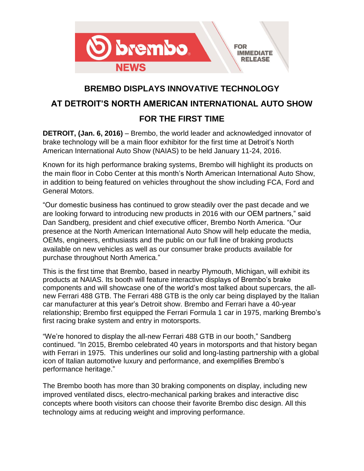

## **BREMBO DISPLAYS INNOVATIVE TECHNOLOGY**

# **AT DETROIT'S NORTH AMERICAN INTERNATIONAL AUTO SHOW FOR THE FIRST TIME**

**DETROIT, (Jan. 6, 2016)** – Brembo, the world leader and acknowledged innovator of brake technology will be a main floor exhibitor for the first time at Detroit's North American International Auto Show (NAIAS) to be held January 11-24, 2016.

Known for its high performance braking systems, Brembo will highlight its products on the main floor in Cobo Center at this month's North American International Auto Show, in addition to being featured on vehicles throughout the show including FCA, Ford and General Motors.

"Our domestic business has continued to grow steadily over the past decade and we are looking forward to introducing new products in 2016 with our OEM partners," said Dan Sandberg, president and chief executive officer, Brembo North America. "Our presence at the North American International Auto Show will help educate the media, OEMs, engineers, enthusiasts and the public on our full line of braking products available on new vehicles as well as our consumer brake products available for purchase throughout North America."

This is the first time that Brembo, based in nearby Plymouth, Michigan, will exhibit its products at NAIAS. Its booth will feature interactive displays of Brembo's brake components and will showcase one of the world's most talked about supercars, the allnew Ferrari 488 GTB. The Ferrari 488 GTB is the only car being displayed by the Italian car manufacturer at this year's Detroit show. Brembo and Ferrari have a 40-year relationship; Brembo first equipped the Ferrari Formula 1 car in 1975, marking Brembo's first racing brake system and entry in motorsports.

"We're honored to display the all-new Ferrari 488 GTB in our booth," Sandberg continued. "In 2015, Brembo celebrated 40 years in motorsports and that history began with Ferrari in 1975. This underlines our solid and long-lasting partnership with a global icon of Italian automotive luxury and performance, and exemplifies Brembo's performance heritage."

The Brembo booth has more than 30 braking components on display, including new improved ventilated discs, electro-mechanical parking brakes and interactive disc concepts where booth visitors can choose their favorite Brembo disc design. All this technology aims at reducing weight and improving performance.